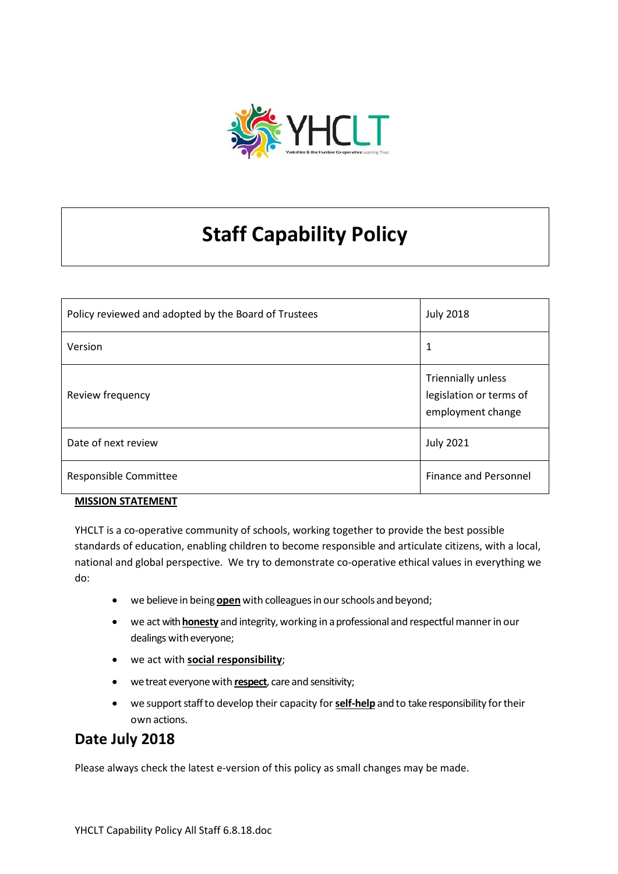

# **Staff Capability Policy**

| Policy reviewed and adopted by the Board of Trustees | <b>July 2018</b>                                                   |
|------------------------------------------------------|--------------------------------------------------------------------|
| Version                                              | 1                                                                  |
| Review frequency                                     | Triennially unless<br>legislation or terms of<br>employment change |
| Date of next review                                  | <b>July 2021</b>                                                   |
| Responsible Committee                                | <b>Finance and Personnel</b>                                       |

#### **MISSION STATEMENT**

YHCLT is a co-operative community of schools, working together to provide the best possible standards of education, enabling children to become responsible and articulate citizens, with a local, national and global perspective. We try to demonstrate co-operative ethical values in everything we do:

- we believe in being **open** with colleagues in our schools and beyond;
- we act with **honesty** and integrity, working in a professional and respectful manner in our dealings with everyone;
- we act with **social responsibility**;
- we treat everyone with **respect**, care and sensitivity;
- we supportstaffto develop their capacity for **self-help** and to takeresponsibility fortheir own actions.

### **Date July 2018**

Please always check the latest e-version of this policy as small changes may be made.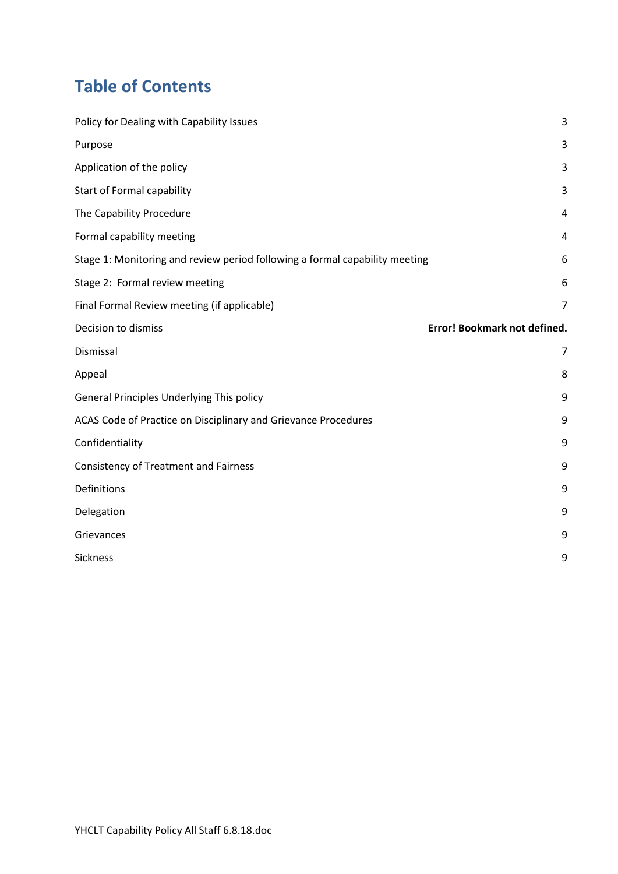## **Table of Contents**

| Purpose<br>3<br>Application of the policy<br>3<br><b>Start of Formal capability</b><br>3<br>The Capability Procedure<br>4<br>Formal capability meeting<br>4<br>Stage 1: Monitoring and review period following a formal capability meeting<br>6<br>Stage 2: Formal review meeting<br>6<br>Final Formal Review meeting (if applicable)<br>7<br>Error! Bookmark not defined.<br>Decision to dismiss<br>Dismissal<br>$\overline{7}$<br>Appeal<br>8<br>General Principles Underlying This policy<br>9<br>ACAS Code of Practice on Disciplinary and Grievance Procedures<br>9<br>Confidentiality<br>9<br><b>Consistency of Treatment and Fairness</b><br>9<br>Definitions<br>9<br>Delegation<br>9<br>Grievances<br>9<br>Sickness<br>9 | Policy for Dealing with Capability Issues | 3 |
|----------------------------------------------------------------------------------------------------------------------------------------------------------------------------------------------------------------------------------------------------------------------------------------------------------------------------------------------------------------------------------------------------------------------------------------------------------------------------------------------------------------------------------------------------------------------------------------------------------------------------------------------------------------------------------------------------------------------------------|-------------------------------------------|---|
|                                                                                                                                                                                                                                                                                                                                                                                                                                                                                                                                                                                                                                                                                                                                  |                                           |   |
|                                                                                                                                                                                                                                                                                                                                                                                                                                                                                                                                                                                                                                                                                                                                  |                                           |   |
|                                                                                                                                                                                                                                                                                                                                                                                                                                                                                                                                                                                                                                                                                                                                  |                                           |   |
|                                                                                                                                                                                                                                                                                                                                                                                                                                                                                                                                                                                                                                                                                                                                  |                                           |   |
|                                                                                                                                                                                                                                                                                                                                                                                                                                                                                                                                                                                                                                                                                                                                  |                                           |   |
|                                                                                                                                                                                                                                                                                                                                                                                                                                                                                                                                                                                                                                                                                                                                  |                                           |   |
|                                                                                                                                                                                                                                                                                                                                                                                                                                                                                                                                                                                                                                                                                                                                  |                                           |   |
|                                                                                                                                                                                                                                                                                                                                                                                                                                                                                                                                                                                                                                                                                                                                  |                                           |   |
|                                                                                                                                                                                                                                                                                                                                                                                                                                                                                                                                                                                                                                                                                                                                  |                                           |   |
|                                                                                                                                                                                                                                                                                                                                                                                                                                                                                                                                                                                                                                                                                                                                  |                                           |   |
|                                                                                                                                                                                                                                                                                                                                                                                                                                                                                                                                                                                                                                                                                                                                  |                                           |   |
|                                                                                                                                                                                                                                                                                                                                                                                                                                                                                                                                                                                                                                                                                                                                  |                                           |   |
|                                                                                                                                                                                                                                                                                                                                                                                                                                                                                                                                                                                                                                                                                                                                  |                                           |   |
|                                                                                                                                                                                                                                                                                                                                                                                                                                                                                                                                                                                                                                                                                                                                  |                                           |   |
|                                                                                                                                                                                                                                                                                                                                                                                                                                                                                                                                                                                                                                                                                                                                  |                                           |   |
|                                                                                                                                                                                                                                                                                                                                                                                                                                                                                                                                                                                                                                                                                                                                  |                                           |   |
|                                                                                                                                                                                                                                                                                                                                                                                                                                                                                                                                                                                                                                                                                                                                  |                                           |   |
|                                                                                                                                                                                                                                                                                                                                                                                                                                                                                                                                                                                                                                                                                                                                  |                                           |   |
|                                                                                                                                                                                                                                                                                                                                                                                                                                                                                                                                                                                                                                                                                                                                  |                                           |   |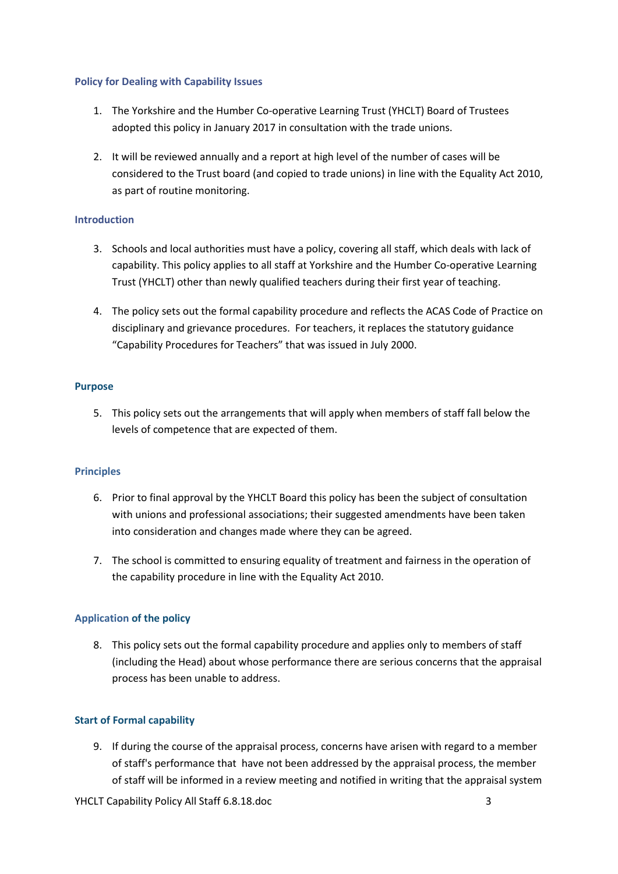#### <span id="page-2-0"></span>**Policy for Dealing with Capability Issues**

- 1. The Yorkshire and the Humber Co-operative Learning Trust (YHCLT) Board of Trustees adopted this policy in January 2017 in consultation with the trade unions.
- 2. It will be reviewed annually and a report at high level of the number of cases will be considered to the Trust board (and copied to trade unions) in line with the Equality Act 2010, as part of routine monitoring.

#### **Introduction**

- 3. Schools and local authorities must have a policy, covering all staff, which deals with lack of capability. This policy applies to all staff at Yorkshire and the Humber Co-operative Learning Trust (YHCLT) other than newly qualified teachers during their first year of teaching.
- 4. The policy sets out the formal capability procedure and reflects the ACAS Code of Practice on disciplinary and grievance procedures. For teachers, it replaces the statutory guidance "Capability Procedures for Teachers" that was issued in July 2000.

#### <span id="page-2-1"></span>**Purpose**

5. This policy sets out the arrangements that will apply when members of staff fall below the levels of competence that are expected of them.

#### <span id="page-2-2"></span>**Principles**

- 6. Prior to final approval by the YHCLT Board this policy has been the subject of consultation with unions and professional associations; their suggested amendments have been taken into consideration and changes made where they can be agreed.
- 7. The school is committed to ensuring equality of treatment and fairness in the operation of the capability procedure in line with the Equality Act 2010.

#### **Application of the policy**

8. This policy sets out the formal capability procedure and applies only to members of staff (including the Head) about whose performance there are serious concerns that the appraisal process has been unable to address.

#### <span id="page-2-3"></span>**Start of Formal capability**

9. If during the course of the appraisal process, concerns have arisen with regard to a member of staff's performance that have not been addressed by the appraisal process, the member of staff will be informed in a review meeting and notified in writing that the appraisal system

YHCLT Capability Policy All Staff 6.8.18.doc 3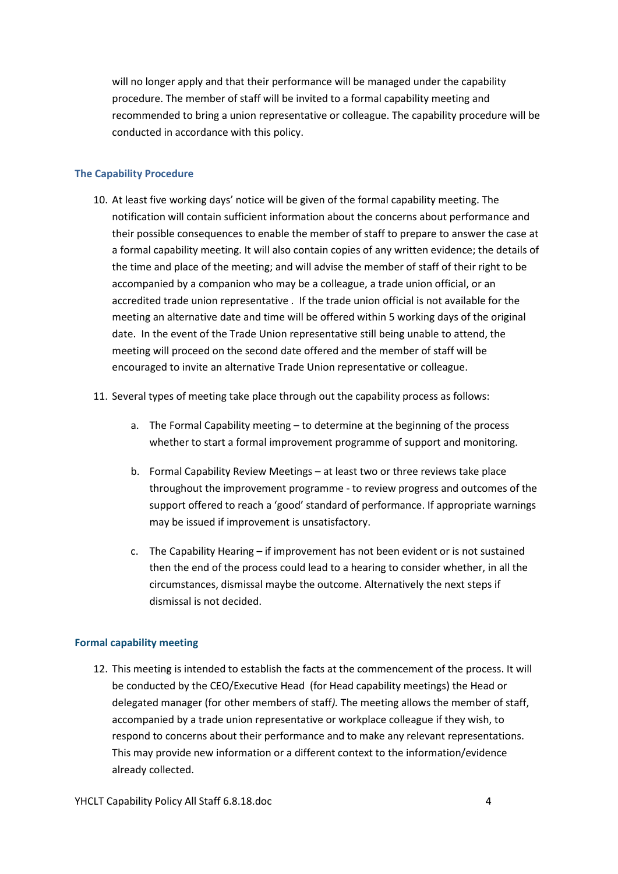will no longer apply and that their performance will be managed under the capability procedure. The member of staff will be invited to a formal capability meeting and recommended to bring a union representative or colleague. The capability procedure will be conducted in accordance with this policy.

#### <span id="page-3-0"></span>**The Capability Procedure**

- 10. At least five working days' notice will be given of the formal capability meeting. The notification will contain sufficient information about the concerns about performance and their possible consequences to enable the member of staff to prepare to answer the case at a formal capability meeting. It will also contain copies of any written evidence; the details of the time and place of the meeting; and will advise the member of staff of their right to be accompanied by a companion who may be a colleague, a trade union official, or an accredited trade union representative . If the trade union official is not available for the meeting an alternative date and time will be offered within 5 working days of the original date. In the event of the Trade Union representative still being unable to attend, the meeting will proceed on the second date offered and the member of staff will be encouraged to invite an alternative Trade Union representative or colleague.
- 11. Several types of meeting take place through out the capability process as follows:
	- a. The Formal Capability meeting to determine at the beginning of the process whether to start a formal improvement programme of support and monitoring.
	- b. Formal Capability Review Meetings at least two or three reviews take place throughout the improvement programme - to review progress and outcomes of the support offered to reach a 'good' standard of performance. If appropriate warnings may be issued if improvement is unsatisfactory.
	- c. The Capability Hearing if improvement has not been evident or is not sustained then the end of the process could lead to a hearing to consider whether, in all the circumstances, dismissal maybe the outcome. Alternatively the next steps if dismissal is not decided.

#### <span id="page-3-1"></span>**Formal capability meeting**

12. This meeting is intended to establish the facts at the commencement of the process. It will be conducted by the CEO/Executive Head (for Head capability meetings) the Head or delegated manager (for other members of staff*).* The meeting allows the member of staff, accompanied by a trade union representative or workplace colleague if they wish, to respond to concerns about their performance and to make any relevant representations. This may provide new information or a different context to the information/evidence already collected.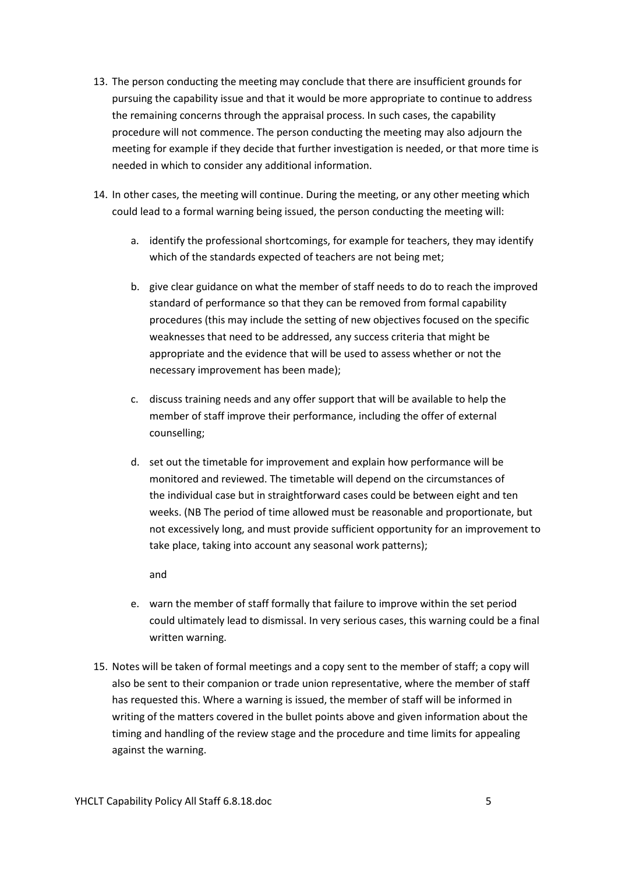- 13. The person conducting the meeting may conclude that there are insufficient grounds for pursuing the capability issue and that it would be more appropriate to continue to address the remaining concerns through the appraisal process. In such cases, the capability procedure will not commence. The person conducting the meeting may also adjourn the meeting for example if they decide that further investigation is needed, or that more time is needed in which to consider any additional information.
- 14. In other cases, the meeting will continue. During the meeting, or any other meeting which could lead to a formal warning being issued, the person conducting the meeting will:
	- a. identify the professional shortcomings, for example for teachers, they may identify which of the standards expected of teachers are not being met;
	- b. give clear guidance on what the member of staff needs to do to reach the improved standard of performance so that they can be removed from formal capability procedures (this may include the setting of new objectives focused on the specific weaknesses that need to be addressed, any success criteria that might be appropriate and the evidence that will be used to assess whether or not the necessary improvement has been made);
	- c. discuss training needs and any offer support that will be available to help the member of staff improve their performance, including the offer of external counselling;
	- d. set out the timetable for improvement and explain how performance will be monitored and reviewed. The timetable will depend on the circumstances of the individual case but in straightforward cases could be between eight and ten weeks. (NB The period of time allowed must be reasonable and proportionate, but not excessively long, and must provide sufficient opportunity for an improvement to take place, taking into account any seasonal work patterns);

and

- e. warn the member of staff formally that failure to improve within the set period could ultimately lead to dismissal. In very serious cases, this warning could be a final written warning.
- 15. Notes will be taken of formal meetings and a copy sent to the member of staff; a copy will also be sent to their companion or trade union representative, where the member of staff has requested this. Where a warning is issued, the member of staff will be informed in writing of the matters covered in the bullet points above and given information about the timing and handling of the review stage and the procedure and time limits for appealing against the warning.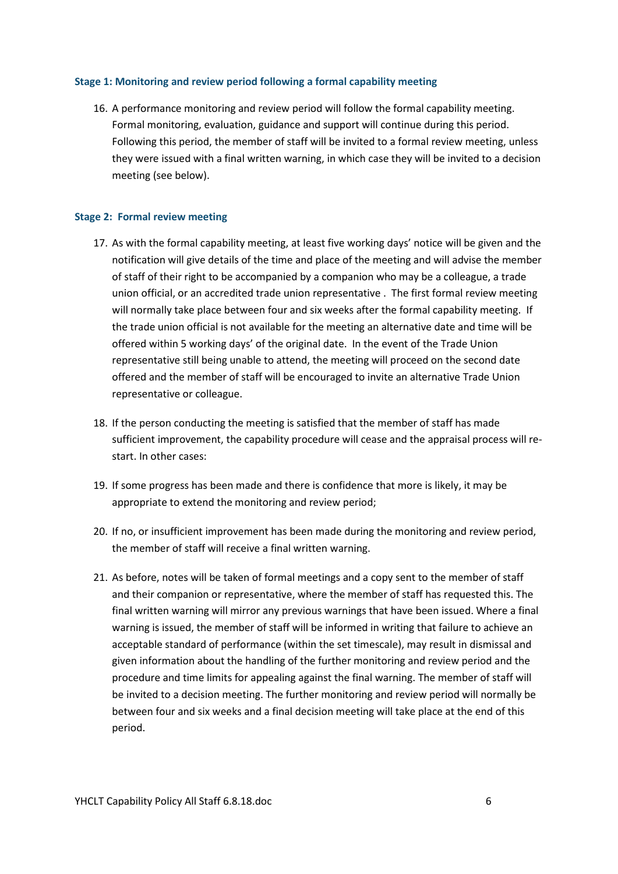#### <span id="page-5-0"></span>**Stage 1: Monitoring and review period following a formal capability meeting**

16. A performance monitoring and review period will follow the formal capability meeting. Formal monitoring, evaluation, guidance and support will continue during this period. Following this period, the member of staff will be invited to a formal review meeting, unless they were issued with a final written warning, in which case they will be invited to a decision meeting (see below).

#### <span id="page-5-1"></span>**Stage 2: Formal review meeting**

- 17. As with the formal capability meeting, at least five working days' notice will be given and the notification will give details of the time and place of the meeting and will advise the member of staff of their right to be accompanied by a companion who may be a colleague, a trade union official, or an accredited trade union representative . The first formal review meeting will normally take place between four and six weeks after the formal capability meeting. If the trade union official is not available for the meeting an alternative date and time will be offered within 5 working days' of the original date. In the event of the Trade Union representative still being unable to attend, the meeting will proceed on the second date offered and the member of staff will be encouraged to invite an alternative Trade Union representative or colleague.
- 18. If the person conducting the meeting is satisfied that the member of staff has made sufficient improvement, the capability procedure will cease and the appraisal process will restart. In other cases:
- 19. If some progress has been made and there is confidence that more is likely, it may be appropriate to extend the monitoring and review period;
- 20. If no, or insufficient improvement has been made during the monitoring and review period, the member of staff will receive a final written warning.
- 21. As before, notes will be taken of formal meetings and a copy sent to the member of staff and their companion or representative, where the member of staff has requested this. The final written warning will mirror any previous warnings that have been issued. Where a final warning is issued, the member of staff will be informed in writing that failure to achieve an acceptable standard of performance (within the set timescale), may result in dismissal and given information about the handling of the further monitoring and review period and the procedure and time limits for appealing against the final warning. The member of staff will be invited to a decision meeting. The further monitoring and review period will normally be between four and six weeks and a final decision meeting will take place at the end of this period.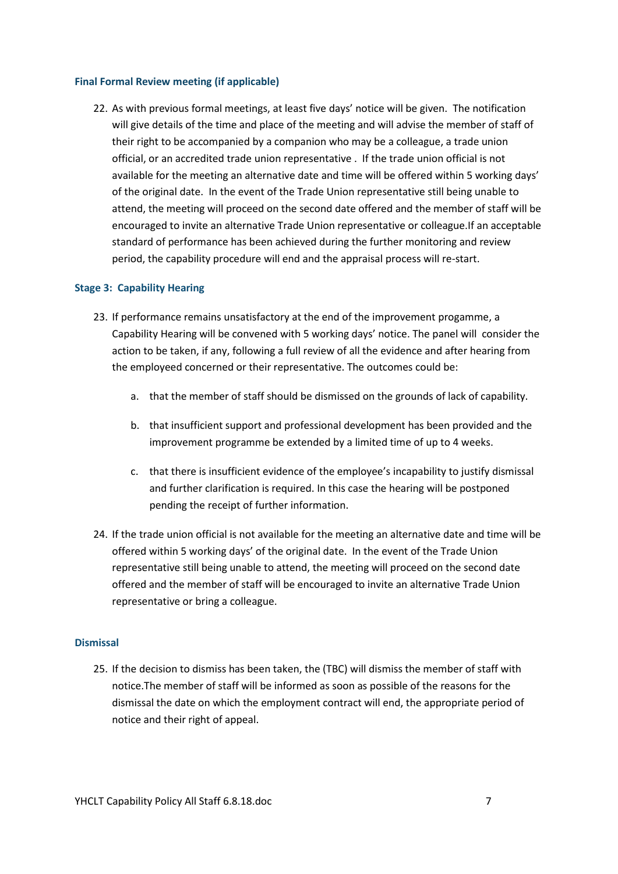#### <span id="page-6-0"></span>**Final Formal Review meeting (if applicable)**

22. As with previous formal meetings, at least five days' notice will be given. The notification will give details of the time and place of the meeting and will advise the member of staff of their right to be accompanied by a companion who may be a colleague, a trade union official, or an accredited trade union representative . If the trade union official is not available for the meeting an alternative date and time will be offered within 5 working days' of the original date. In the event of the Trade Union representative still being unable to attend, the meeting will proceed on the second date offered and the member of staff will be encouraged to invite an alternative Trade Union representative or colleague.If an acceptable standard of performance has been achieved during the further monitoring and review period, the capability procedure will end and the appraisal process will re-start.

#### **Stage 3: Capability Hearing**

- 23. If performance remains unsatisfactory at the end of the improvement progamme, a Capability Hearing will be convened with 5 working days' notice. The panel will consider the action to be taken, if any, following a full review of all the evidence and after hearing from the employeed concerned or their representative. The outcomes could be:
	- a. that the member of staff should be dismissed on the grounds of lack of capability.
	- b. that insufficient support and professional development has been provided and the improvement programme be extended by a limited time of up to 4 weeks.
	- c. that there is insufficient evidence of the employee's incapability to justify dismissal and further clarification is required. In this case the hearing will be postponed pending the receipt of further information.
- 24. If the trade union official is not available for the meeting an alternative date and time will be offered within 5 working days' of the original date. In the event of the Trade Union representative still being unable to attend, the meeting will proceed on the second date offered and the member of staff will be encouraged to invite an alternative Trade Union representative or bring a colleague.

#### <span id="page-6-1"></span>**Dismissal**

25. If the decision to dismiss has been taken, the (TBC) will dismiss the member of staff with notice.The member of staff will be informed as soon as possible of the reasons for the dismissal the date on which the employment contract will end, the appropriate period of notice and their right of appeal.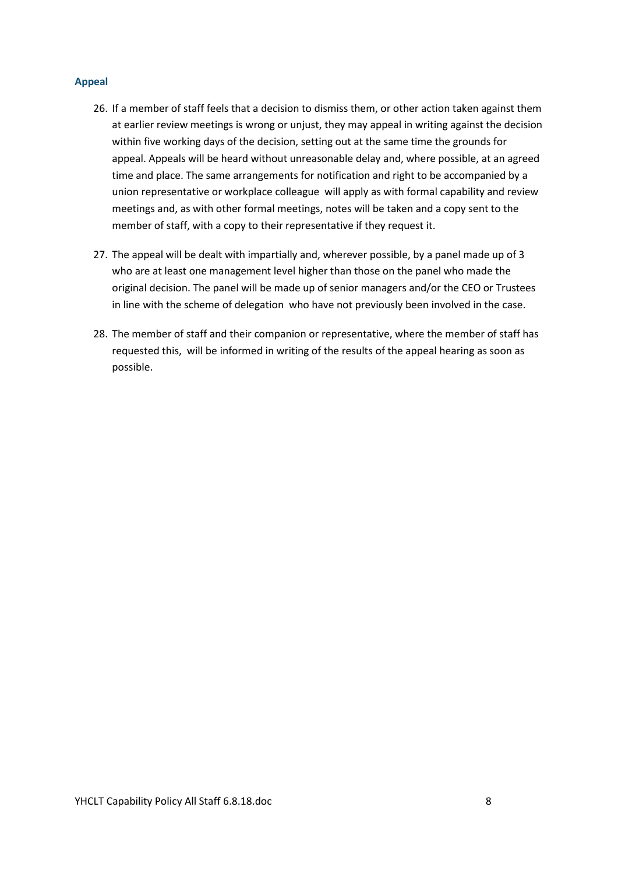#### <span id="page-7-0"></span>**Appeal**

- 26. If a member of staff feels that a decision to dismiss them, or other action taken against them at earlier review meetings is wrong or unjust, they may appeal in writing against the decision within five working days of the decision, setting out at the same time the grounds for appeal. Appeals will be heard without unreasonable delay and, where possible, at an agreed time and place. The same arrangements for notification and right to be accompanied by a union representative or workplace colleague will apply as with formal capability and review meetings and, as with other formal meetings, notes will be taken and a copy sent to the member of staff, with a copy to their representative if they request it.
- 27. The appeal will be dealt with impartially and, wherever possible, by a panel made up of 3 who are at least one management level higher than those on the panel who made the original decision. The panel will be made up of senior managers and/or the CEO or Trustees in line with the scheme of delegation who have not previously been involved in the case.
- 28. The member of staff and their companion or representative, where the member of staff has requested this, will be informed in writing of the results of the appeal hearing as soon as possible.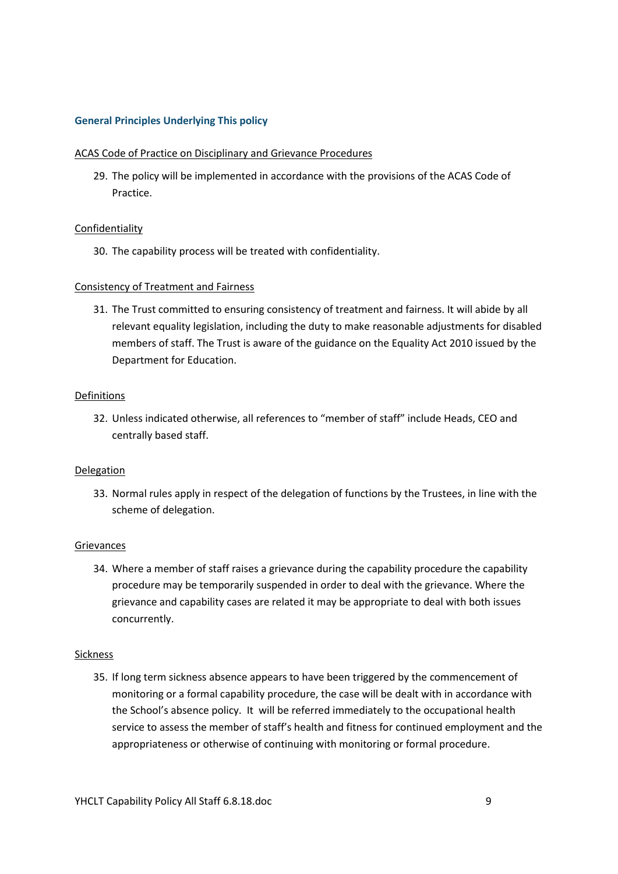#### <span id="page-8-0"></span>**General Principles Underlying This policy**

#### <span id="page-8-1"></span>ACAS Code of Practice on Disciplinary and Grievance Procedures

29. The policy will be implemented in accordance with the provisions of the ACAS Code of Practice.

#### <span id="page-8-2"></span>Confidentiality

30. The capability process will be treated with confidentiality.

#### <span id="page-8-3"></span>Consistency of Treatment and Fairness

31. The Trust committed to ensuring consistency of treatment and fairness. It will abide by all relevant equality legislation, including the duty to make reasonable adjustments for disabled members of staff. The Trust is aware of the guidance on the Equality Act 2010 issued by the Department for Education.

#### <span id="page-8-4"></span>Definitions

32. Unless indicated otherwise, all references to "member of staff" include Heads, CEO and centrally based staff.

#### <span id="page-8-5"></span>**Delegation**

33. Normal rules apply in respect of the delegation of functions by the Trustees, in line with the scheme of delegation.

#### <span id="page-8-6"></span>Grievances

34. Where a member of staff raises a grievance during the capability procedure the capability procedure may be temporarily suspended in order to deal with the grievance. Where the grievance and capability cases are related it may be appropriate to deal with both issues concurrently.

#### <span id="page-8-7"></span>Sickness

35. If long term sickness absence appears to have been triggered by the commencement of monitoring or a formal capability procedure, the case will be dealt with in accordance with the School's absence policy. It will be referred immediately to the occupational health service to assess the member of staff's health and fitness for continued employment and the appropriateness or otherwise of continuing with monitoring or formal procedure.